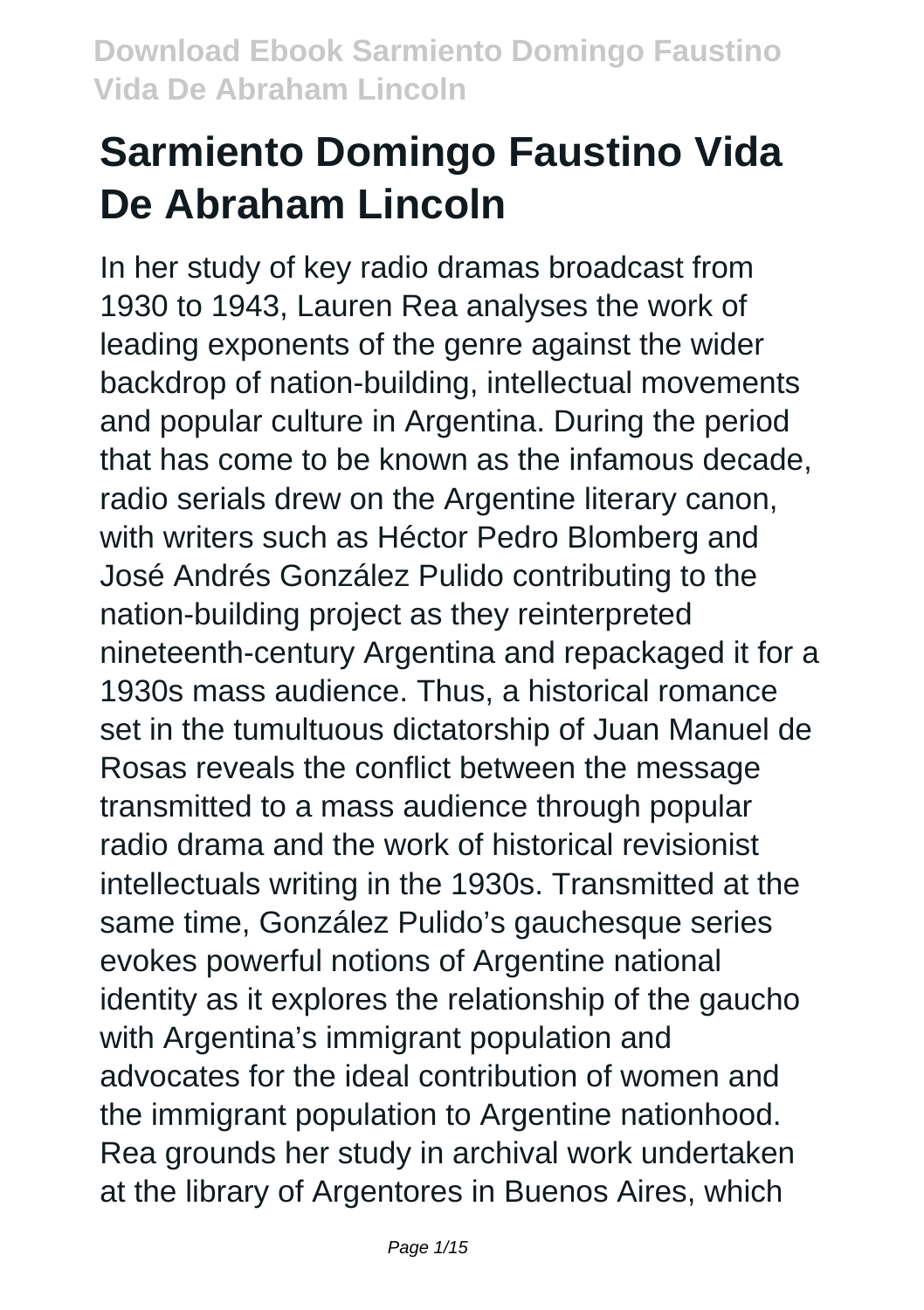# **Sarmiento Domingo Faustino Vida De Abraham Lincoln**

In her study of key radio dramas broadcast from 1930 to 1943, Lauren Rea analyses the work of leading exponents of the genre against the wider backdrop of nation-building, intellectual movements and popular culture in Argentina. During the period that has come to be known as the infamous decade, radio serials drew on the Argentine literary canon, with writers such as Héctor Pedro Blomberg and José Andrés González Pulido contributing to the nation-building project as they reinterpreted nineteenth-century Argentina and repackaged it for a 1930s mass audience. Thus, a historical romance set in the tumultuous dictatorship of Juan Manuel de Rosas reveals the conflict between the message transmitted to a mass audience through popular radio drama and the work of historical revisionist intellectuals writing in the 1930s. Transmitted at the same time, González Pulido's gauchesque series evokes powerful notions of Argentine national identity as it explores the relationship of the gaucho with Argentina's immigrant population and advocates for the ideal contribution of women and the immigrant population to Argentine nationhood. Rea grounds her study in archival work undertaken at the library of Argentores in Buenos Aires, which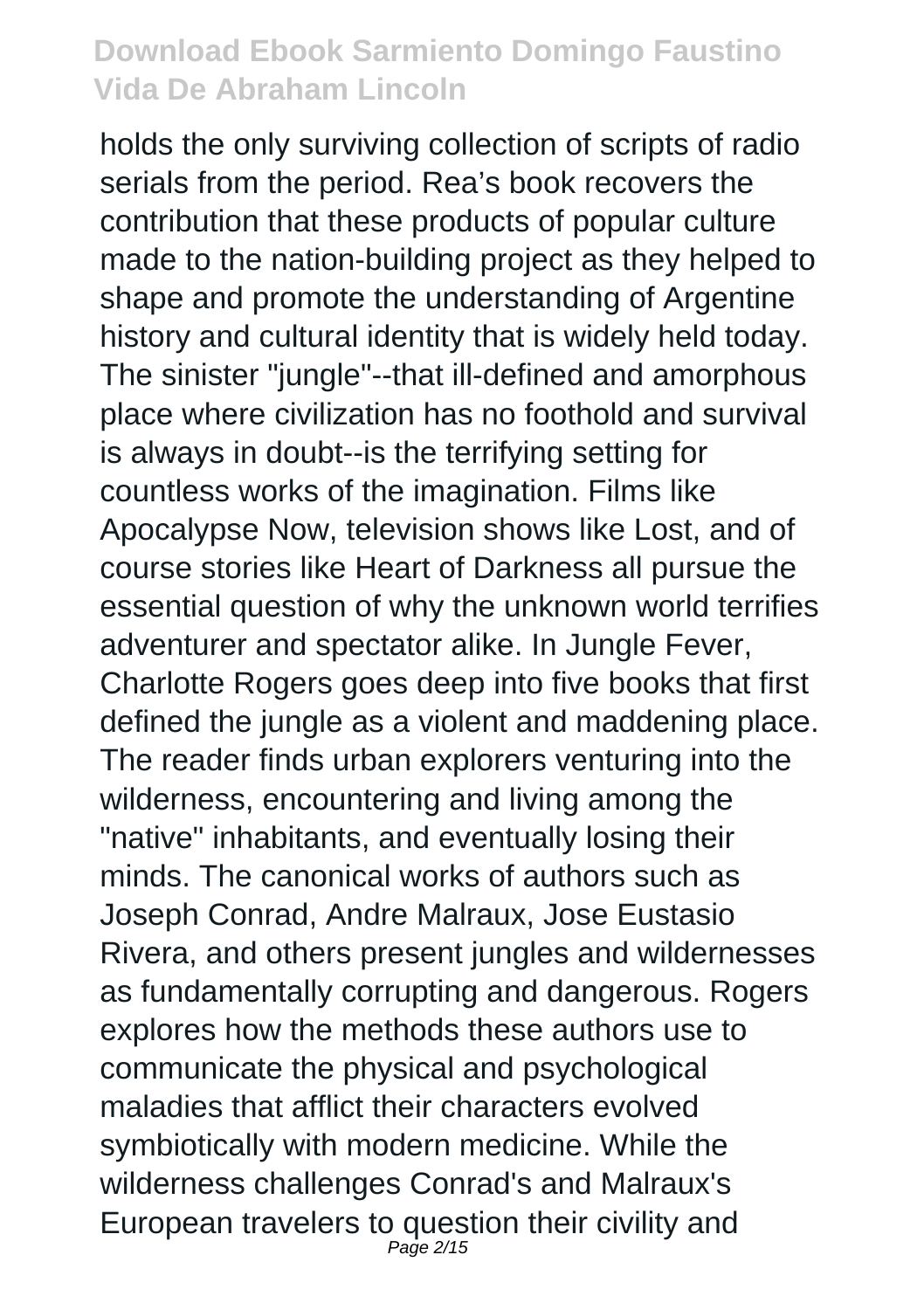holds the only surviving collection of scripts of radio serials from the period. Rea's book recovers the contribution that these products of popular culture made to the nation-building project as they helped to shape and promote the understanding of Argentine history and cultural identity that is widely held today. The sinister "jungle"--that ill-defined and amorphous place where civilization has no foothold and survival is always in doubt--is the terrifying setting for countless works of the imagination. Films like Apocalypse Now, television shows like Lost, and of course stories like Heart of Darkness all pursue the essential question of why the unknown world terrifies adventurer and spectator alike. In Jungle Fever, Charlotte Rogers goes deep into five books that first defined the jungle as a violent and maddening place. The reader finds urban explorers venturing into the wilderness, encountering and living among the "native" inhabitants, and eventually losing their minds. The canonical works of authors such as Joseph Conrad, Andre Malraux, Jose Eustasio Rivera, and others present jungles and wildernesses as fundamentally corrupting and dangerous. Rogers explores how the methods these authors use to communicate the physical and psychological maladies that afflict their characters evolved symbiotically with modern medicine. While the wilderness challenges Conrad's and Malraux's European travelers to question their civility and Page 2/15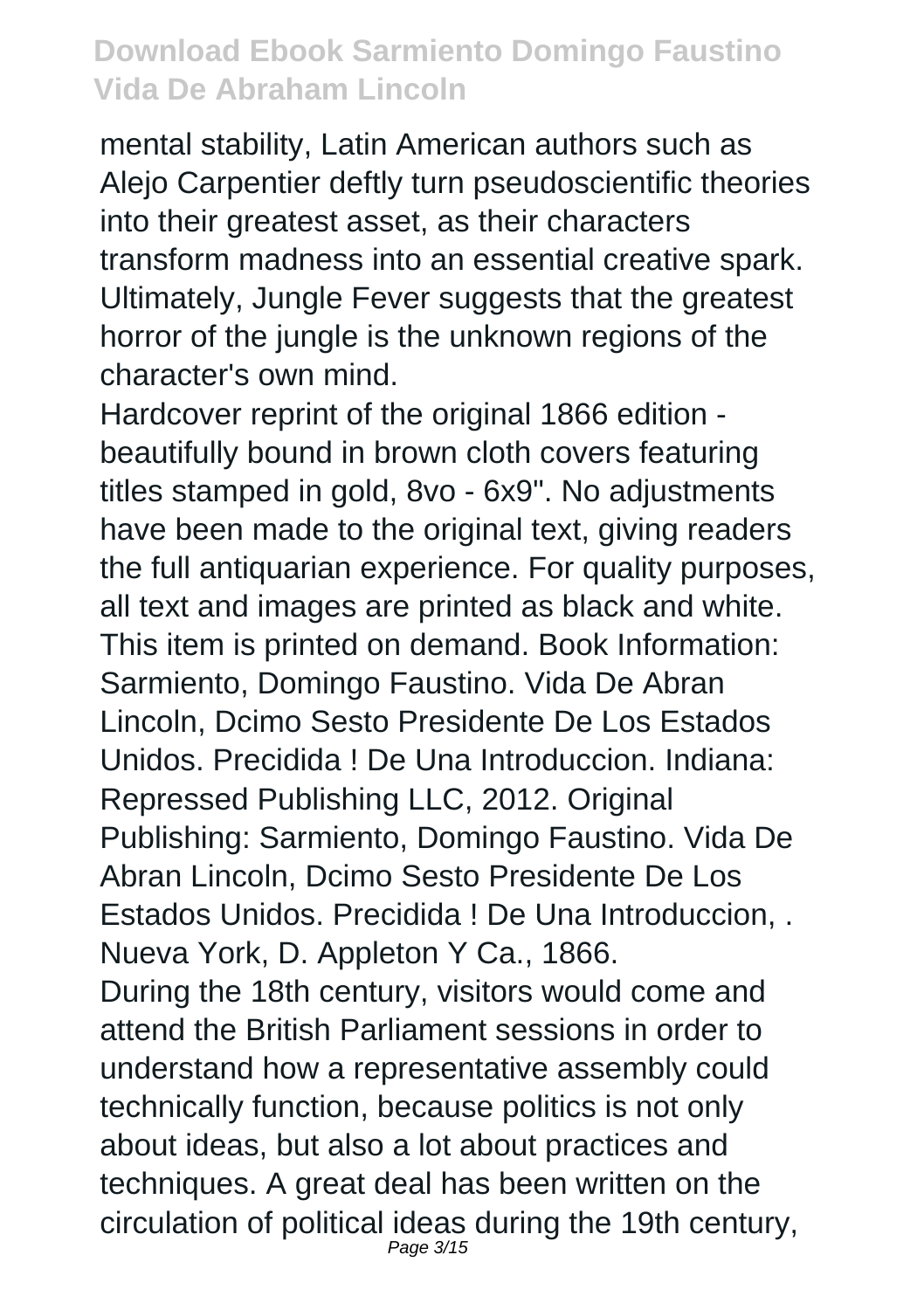mental stability, Latin American authors such as Alejo Carpentier deftly turn pseudoscientific theories into their greatest asset, as their characters transform madness into an essential creative spark. Ultimately, Jungle Fever suggests that the greatest horror of the jungle is the unknown regions of the character's own mind.

Hardcover reprint of the original 1866 edition beautifully bound in brown cloth covers featuring titles stamped in gold, 8vo - 6x9". No adjustments have been made to the original text, giving readers the full antiquarian experience. For quality purposes, all text and images are printed as black and white. This item is printed on demand. Book Information: Sarmiento, Domingo Faustino. Vida De Abran Lincoln, Dcimo Sesto Presidente De Los Estados Unidos. Precidida ! De Una Introduccion. Indiana: Repressed Publishing LLC, 2012. Original Publishing: Sarmiento, Domingo Faustino. Vida De Abran Lincoln, Dcimo Sesto Presidente De Los Estados Unidos. Precidida ! De Una Introduccion, . Nueva York, D. Appleton Y Ca., 1866. During the 18th century, visitors would come and attend the British Parliament sessions in order to understand how a representative assembly could technically function, because politics is not only about ideas, but also a lot about practices and techniques. A great deal has been written on the circulation of political ideas during the 19th century, Page 3/15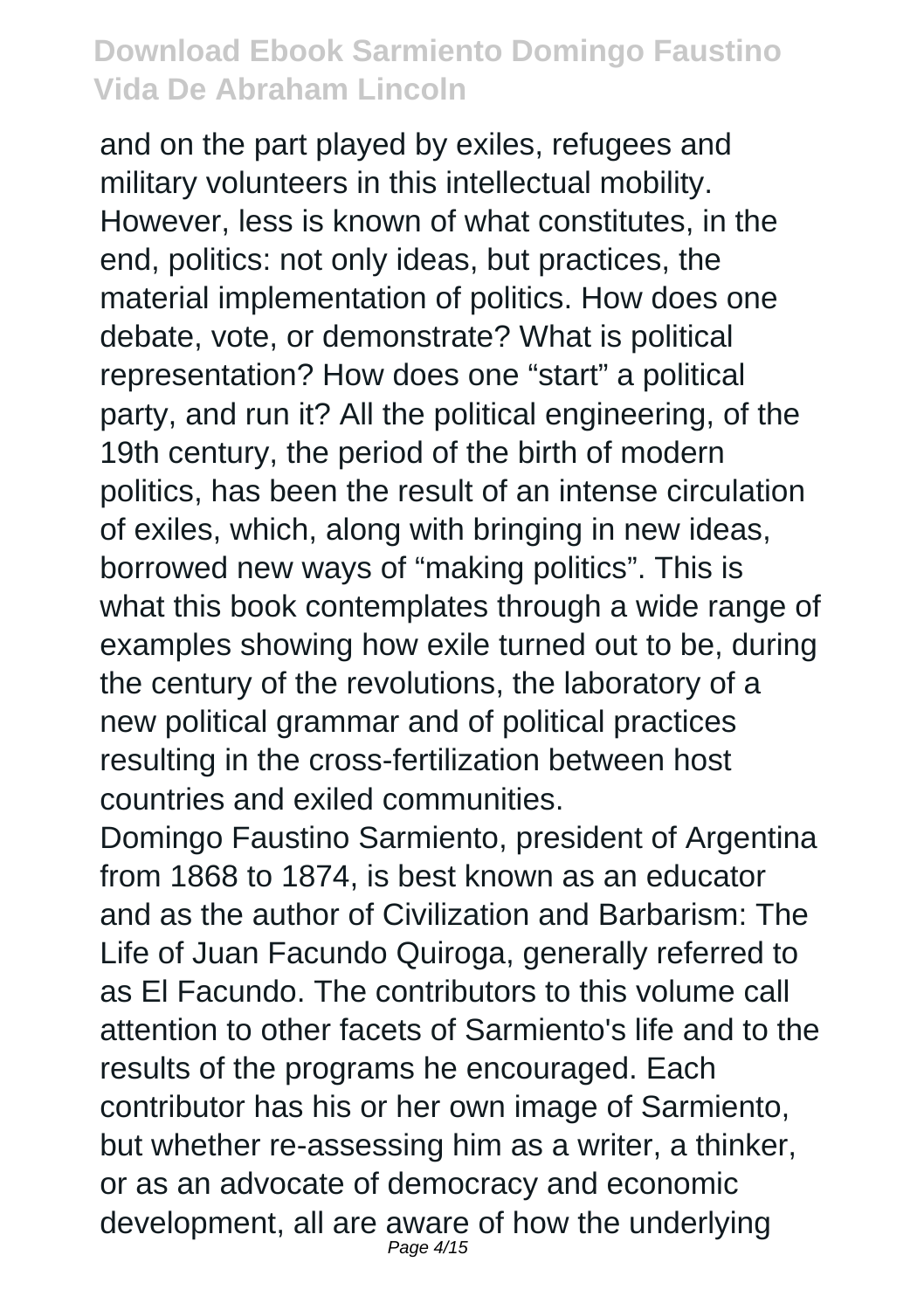and on the part played by exiles, refugees and military volunteers in this intellectual mobility. However, less is known of what constitutes, in the end, politics: not only ideas, but practices, the material implementation of politics. How does one debate, vote, or demonstrate? What is political representation? How does one "start" a political party, and run it? All the political engineering, of the 19th century, the period of the birth of modern politics, has been the result of an intense circulation of exiles, which, along with bringing in new ideas, borrowed new ways of "making politics". This is what this book contemplates through a wide range of examples showing how exile turned out to be, during the century of the revolutions, the laboratory of a new political grammar and of political practices resulting in the cross-fertilization between host countries and exiled communities.

Domingo Faustino Sarmiento, president of Argentina from 1868 to 1874, is best known as an educator and as the author of Civilization and Barbarism: The Life of Juan Facundo Quiroga, generally referred to as El Facundo. The contributors to this volume call attention to other facets of Sarmiento's life and to the results of the programs he encouraged. Each contributor has his or her own image of Sarmiento, but whether re-assessing him as a writer, a thinker, or as an advocate of democracy and economic development, all are aware of how the underlying Page 4/15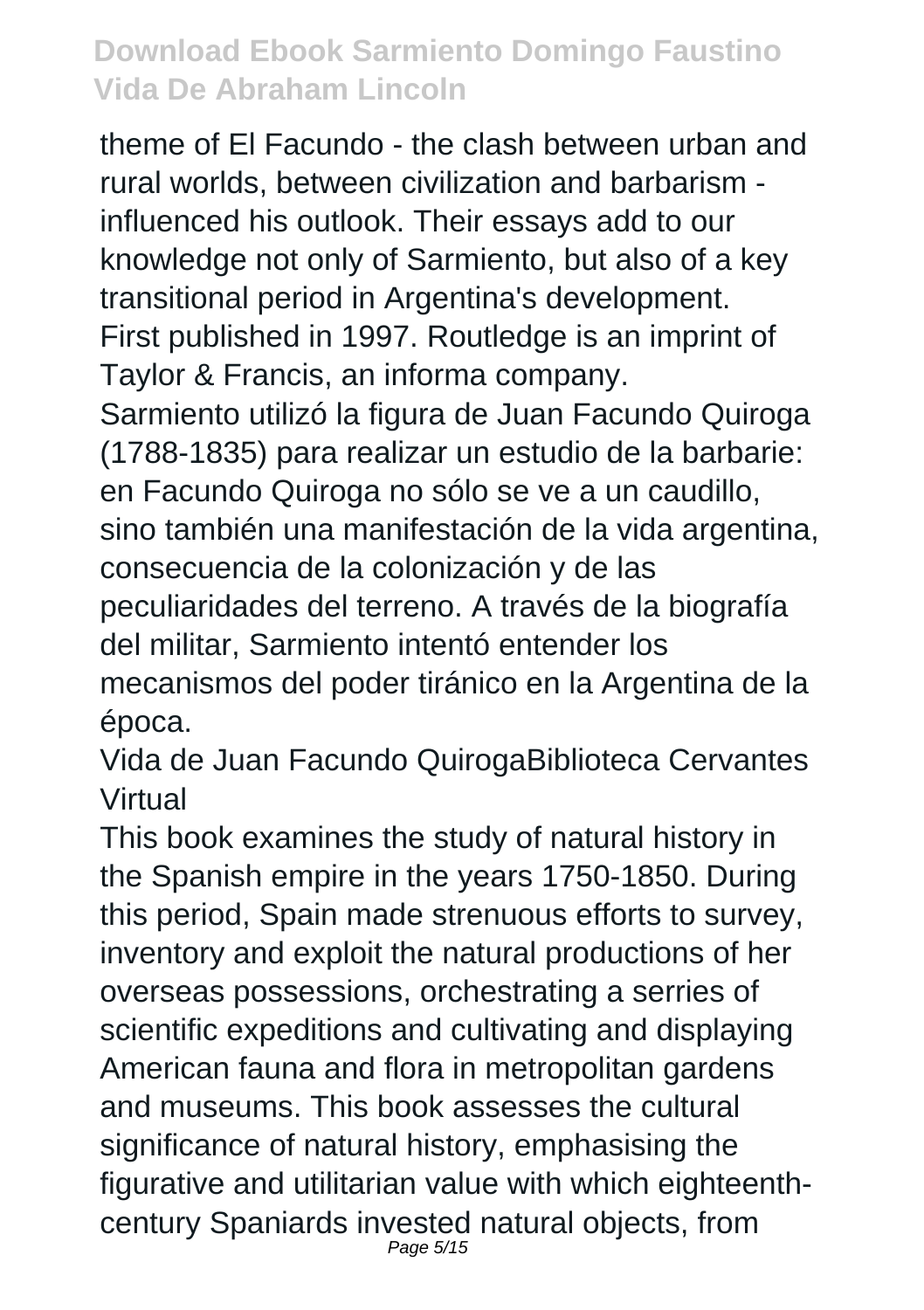theme of El Facundo - the clash between urban and rural worlds, between civilization and barbarism influenced his outlook. Their essays add to our knowledge not only of Sarmiento, but also of a key transitional period in Argentina's development. First published in 1997. Routledge is an imprint of Taylor & Francis, an informa company. Sarmiento utilizó la figura de Juan Facundo Quiroga (1788-1835) para realizar un estudio de la barbarie: en Facundo Quiroga no sólo se ve a un caudillo, sino también una manifestación de la vida argentina. consecuencia de la colonización y de las peculiaridades del terreno. A través de la biografía del militar, Sarmiento intentó entender los mecanismos del poder tiránico en la Argentina de la época.

Vida de Juan Facundo QuirogaBiblioteca Cervantes Virtual

This book examines the study of natural history in the Spanish empire in the years 1750-1850. During this period, Spain made strenuous efforts to survey, inventory and exploit the natural productions of her overseas possessions, orchestrating a serries of scientific expeditions and cultivating and displaying American fauna and flora in metropolitan gardens and museums. This book assesses the cultural significance of natural history, emphasising the figurative and utilitarian value with which eighteenthcentury Spaniards invested natural objects, from Page 5/15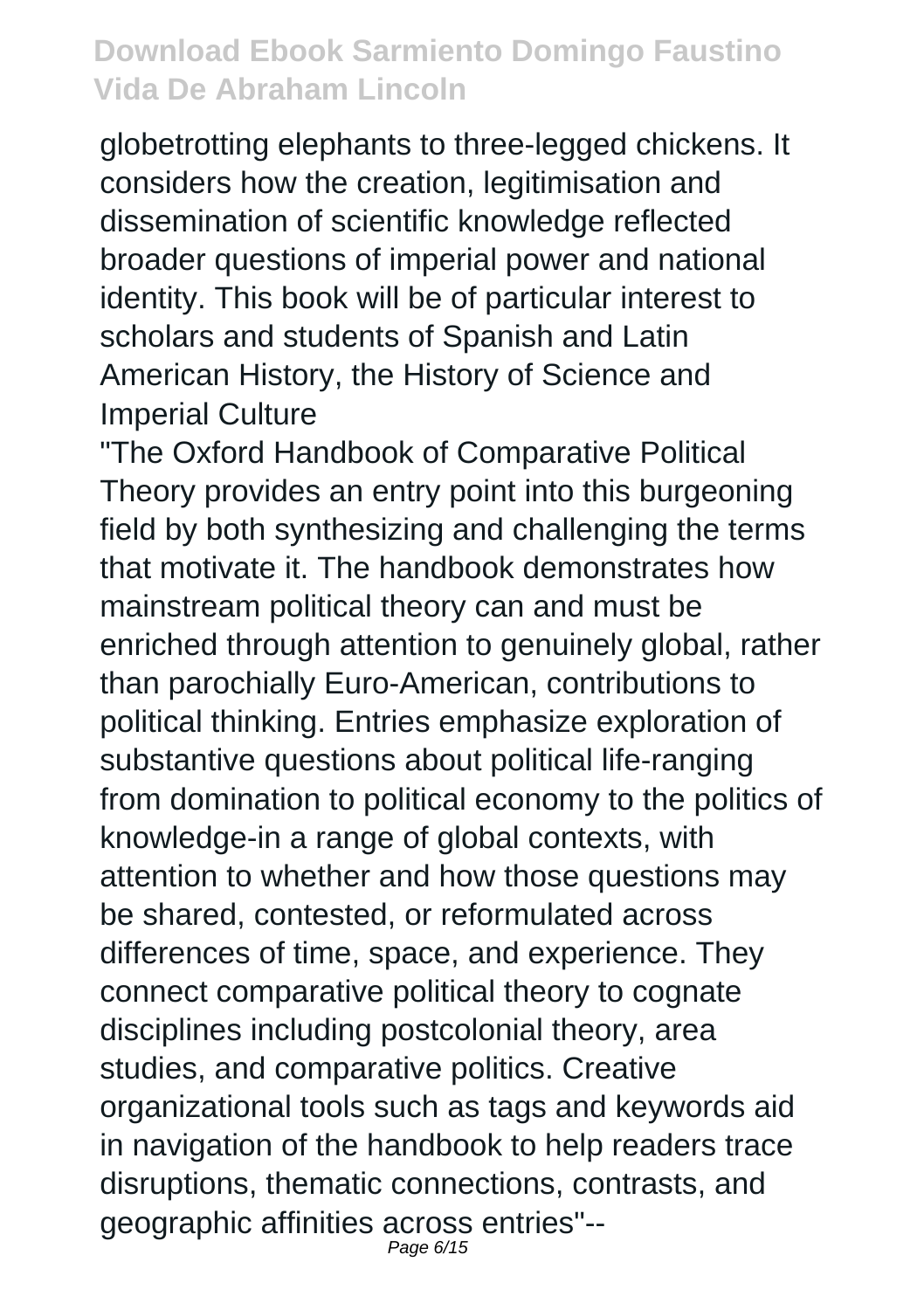globetrotting elephants to three-legged chickens. It considers how the creation, legitimisation and dissemination of scientific knowledge reflected broader questions of imperial power and national identity. This book will be of particular interest to scholars and students of Spanish and Latin American History, the History of Science and Imperial Culture

"The Oxford Handbook of Comparative Political Theory provides an entry point into this burgeoning field by both synthesizing and challenging the terms that motivate it. The handbook demonstrates how mainstream political theory can and must be enriched through attention to genuinely global, rather than parochially Euro-American, contributions to political thinking. Entries emphasize exploration of substantive questions about political life-ranging from domination to political economy to the politics of knowledge-in a range of global contexts, with attention to whether and how those questions may be shared, contested, or reformulated across differences of time, space, and experience. They connect comparative political theory to cognate disciplines including postcolonial theory, area studies, and comparative politics. Creative organizational tools such as tags and keywords aid in navigation of the handbook to help readers trace disruptions, thematic connections, contrasts, and geographic affinities across entries"--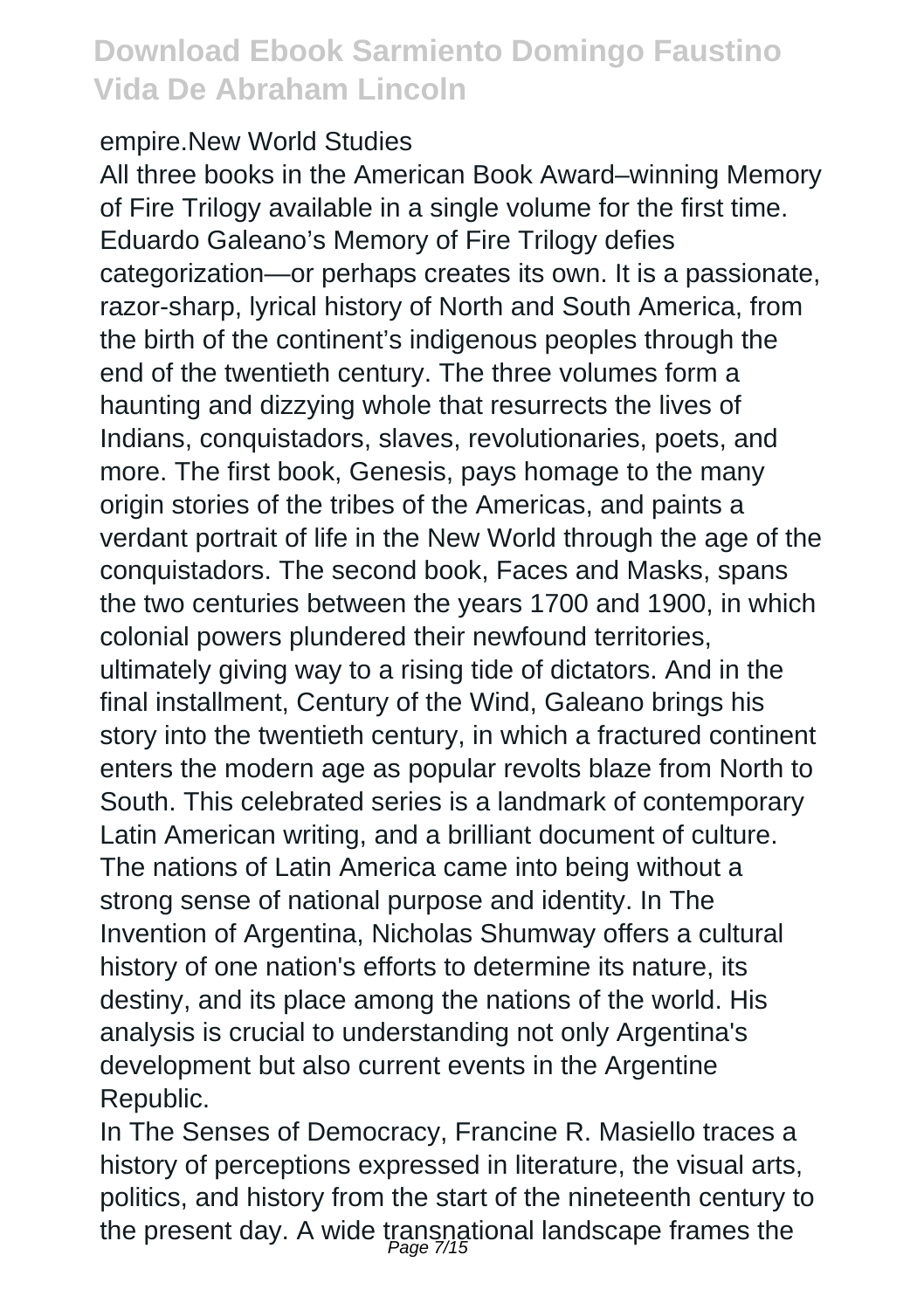#### empire.New World Studies

All three books in the American Book Award–winning Memory of Fire Trilogy available in a single volume for the first time. Eduardo Galeano's Memory of Fire Trilogy defies categorization—or perhaps creates its own. It is a passionate, razor-sharp, lyrical history of North and South America, from the birth of the continent's indigenous peoples through the end of the twentieth century. The three volumes form a haunting and dizzying whole that resurrects the lives of Indians, conquistadors, slaves, revolutionaries, poets, and more. The first book, Genesis, pays homage to the many origin stories of the tribes of the Americas, and paints a verdant portrait of life in the New World through the age of the conquistadors. The second book, Faces and Masks, spans the two centuries between the years 1700 and 1900, in which colonial powers plundered their newfound territories, ultimately giving way to a rising tide of dictators. And in the final installment, Century of the Wind, Galeano brings his story into the twentieth century, in which a fractured continent enters the modern age as popular revolts blaze from North to South. This celebrated series is a landmark of contemporary Latin American writing, and a brilliant document of culture. The nations of Latin America came into being without a strong sense of national purpose and identity. In The Invention of Argentina, Nicholas Shumway offers a cultural history of one nation's efforts to determine its nature, its destiny, and its place among the nations of the world. His analysis is crucial to understanding not only Argentina's development but also current events in the Argentine Republic.

In The Senses of Democracy, Francine R. Masiello traces a history of perceptions expressed in literature, the visual arts, politics, and history from the start of the nineteenth century to the present day. A wide transnational landscape frames the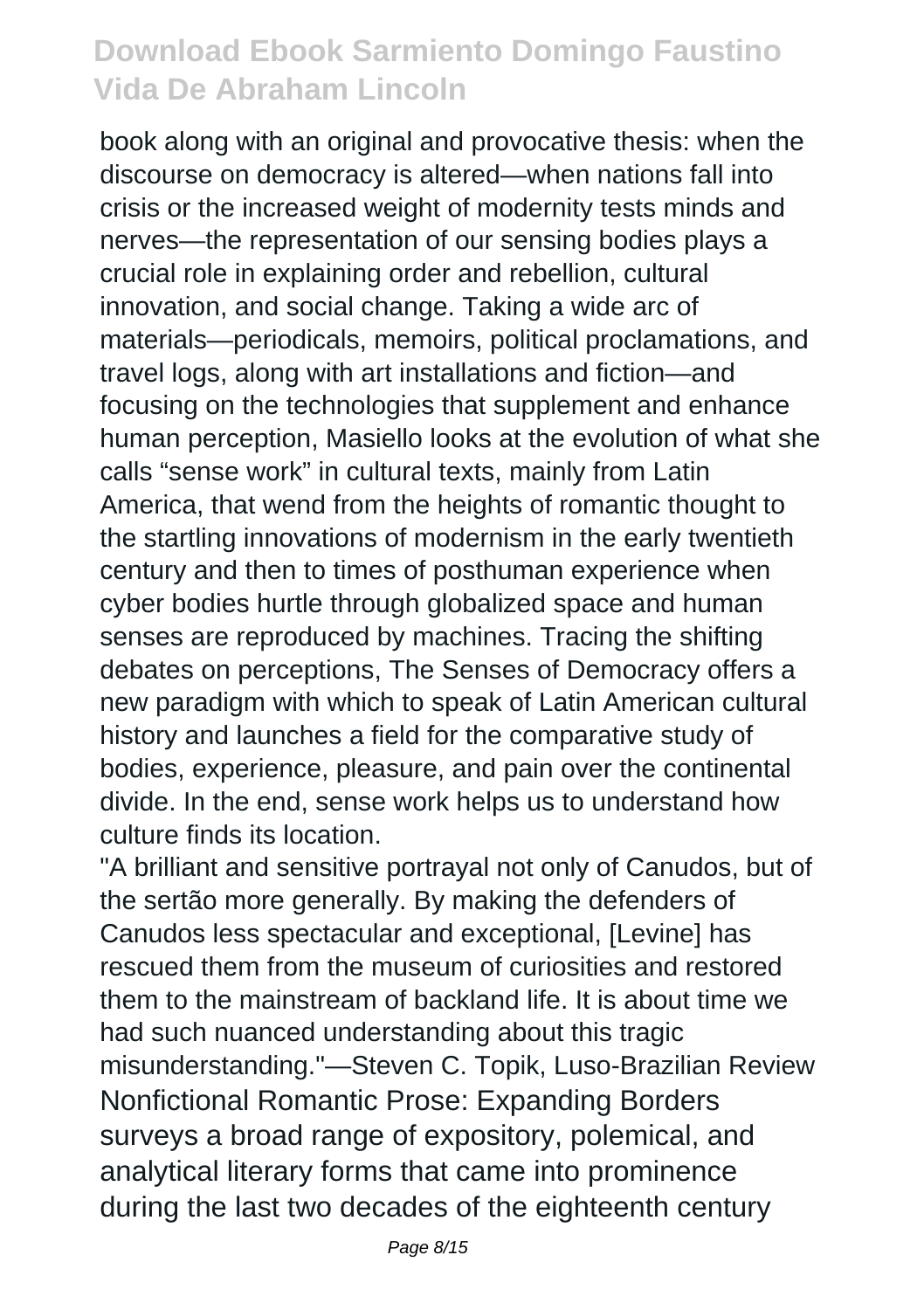book along with an original and provocative thesis: when the discourse on democracy is altered—when nations fall into crisis or the increased weight of modernity tests minds and nerves—the representation of our sensing bodies plays a crucial role in explaining order and rebellion, cultural innovation, and social change. Taking a wide arc of materials—periodicals, memoirs, political proclamations, and travel logs, along with art installations and fiction—and focusing on the technologies that supplement and enhance human perception, Masiello looks at the evolution of what she calls "sense work" in cultural texts, mainly from Latin America, that wend from the heights of romantic thought to the startling innovations of modernism in the early twentieth century and then to times of posthuman experience when cyber bodies hurtle through globalized space and human senses are reproduced by machines. Tracing the shifting debates on perceptions, The Senses of Democracy offers a new paradigm with which to speak of Latin American cultural history and launches a field for the comparative study of bodies, experience, pleasure, and pain over the continental divide. In the end, sense work helps us to understand how culture finds its location.

"A brilliant and sensitive portrayal not only of Canudos, but of the sertão more generally. By making the defenders of Canudos less spectacular and exceptional, [Levine] has rescued them from the museum of curiosities and restored them to the mainstream of backland life. It is about time we had such nuanced understanding about this tragic misunderstanding."—Steven C. Topik, Luso-Brazilian Review Nonfictional Romantic Prose: Expanding Borders surveys a broad range of expository, polemical, and analytical literary forms that came into prominence during the last two decades of the eighteenth century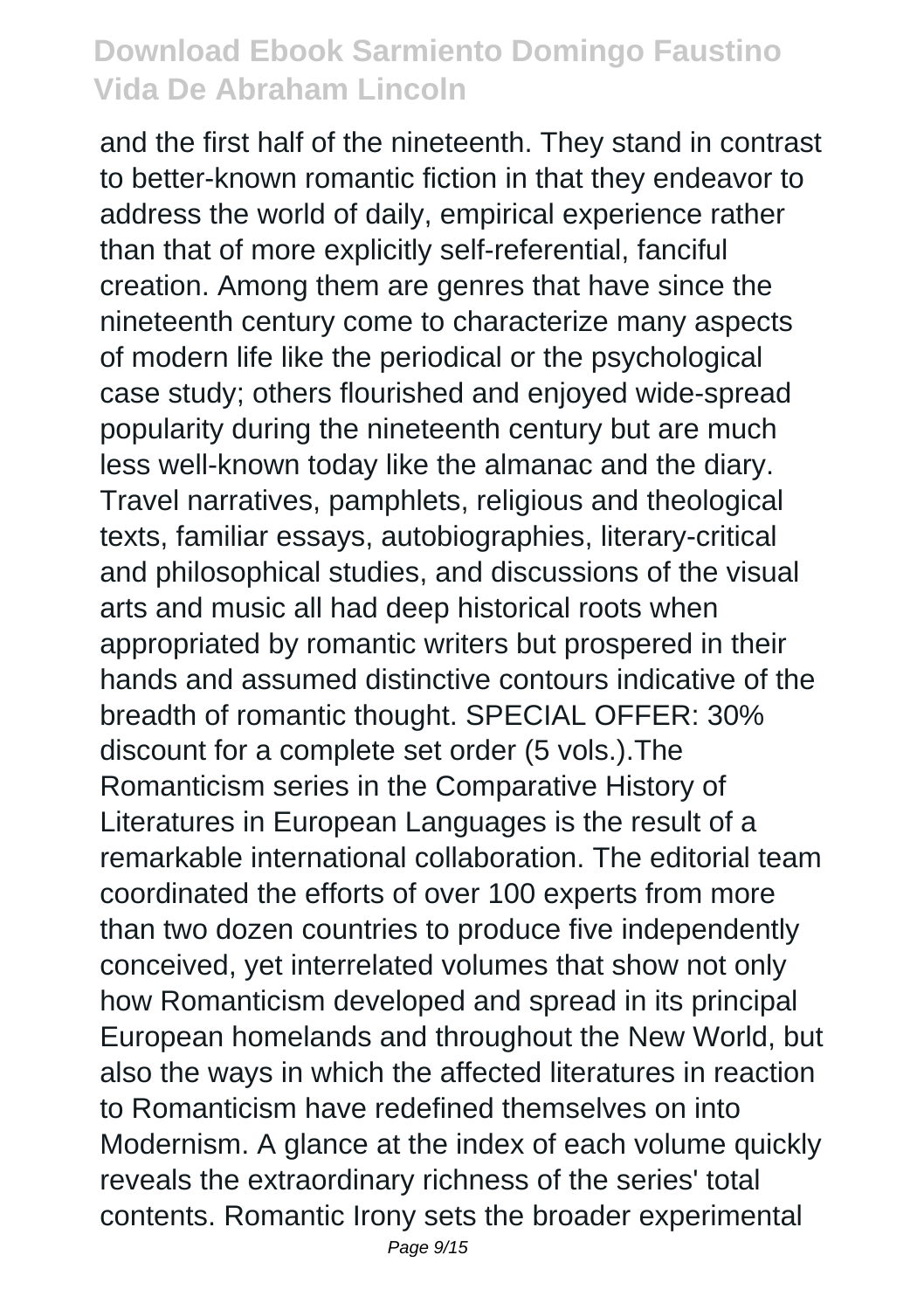and the first half of the nineteenth. They stand in contrast to better-known romantic fiction in that they endeavor to address the world of daily, empirical experience rather than that of more explicitly self-referential, fanciful creation. Among them are genres that have since the nineteenth century come to characterize many aspects of modern life like the periodical or the psychological case study; others flourished and enjoyed wide-spread popularity during the nineteenth century but are much less well-known today like the almanac and the diary. Travel narratives, pamphlets, religious and theological texts, familiar essays, autobiographies, literary-critical and philosophical studies, and discussions of the visual arts and music all had deep historical roots when appropriated by romantic writers but prospered in their hands and assumed distinctive contours indicative of the breadth of romantic thought. SPECIAL OFFER: 30% discount for a complete set order (5 vols.).The Romanticism series in the Comparative History of Literatures in European Languages is the result of a remarkable international collaboration. The editorial team coordinated the efforts of over 100 experts from more than two dozen countries to produce five independently conceived, yet interrelated volumes that show not only how Romanticism developed and spread in its principal European homelands and throughout the New World, but also the ways in which the affected literatures in reaction to Romanticism have redefined themselves on into Modernism. A glance at the index of each volume quickly reveals the extraordinary richness of the series' total contents. Romantic Irony sets the broader experimental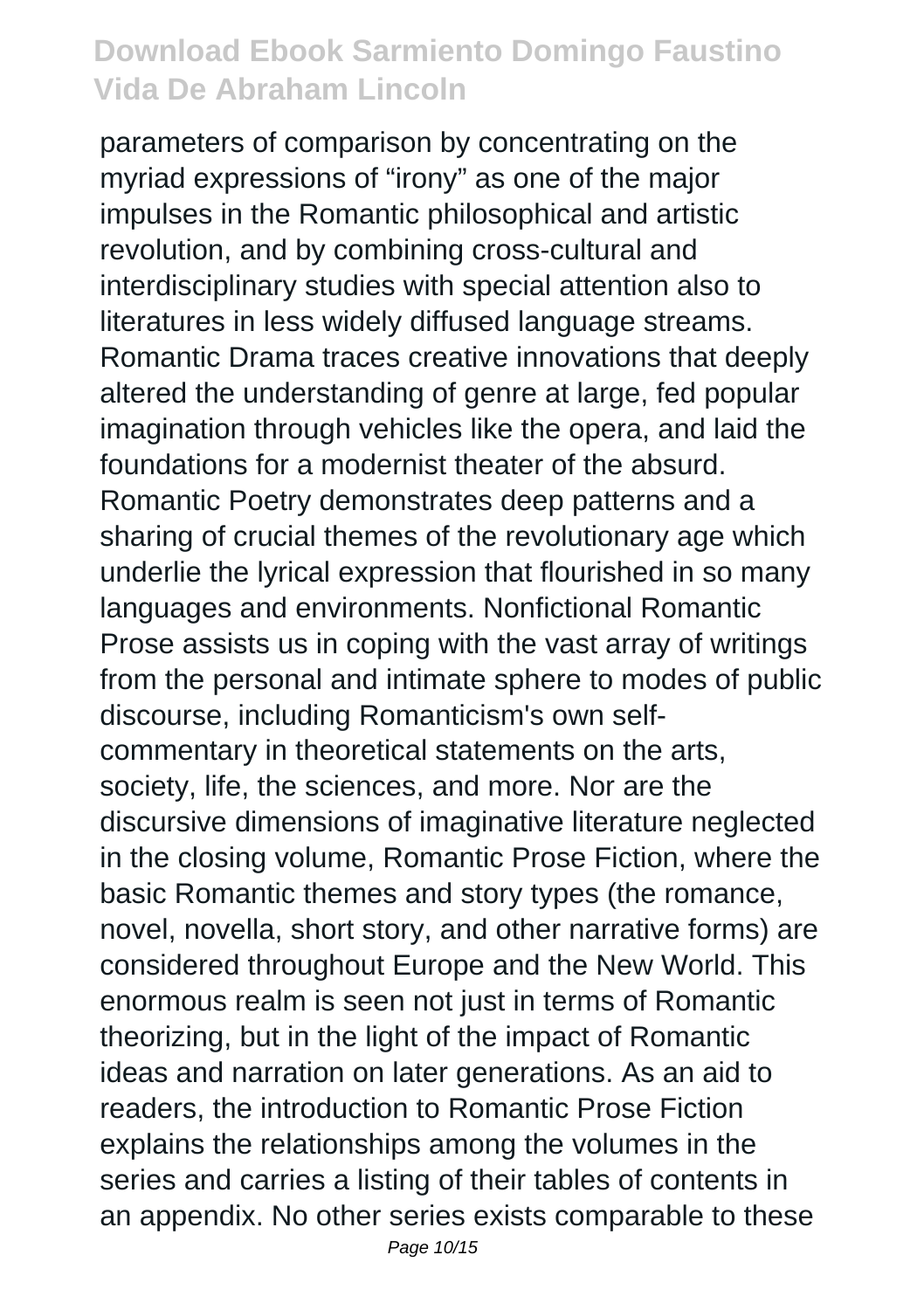parameters of comparison by concentrating on the myriad expressions of "irony" as one of the major impulses in the Romantic philosophical and artistic revolution, and by combining cross-cultural and interdisciplinary studies with special attention also to literatures in less widely diffused language streams. Romantic Drama traces creative innovations that deeply altered the understanding of genre at large, fed popular imagination through vehicles like the opera, and laid the foundations for a modernist theater of the absurd. Romantic Poetry demonstrates deep patterns and a sharing of crucial themes of the revolutionary age which underlie the lyrical expression that flourished in so many languages and environments. Nonfictional Romantic Prose assists us in coping with the vast array of writings from the personal and intimate sphere to modes of public discourse, including Romanticism's own selfcommentary in theoretical statements on the arts, society, life, the sciences, and more. Nor are the discursive dimensions of imaginative literature neglected in the closing volume, Romantic Prose Fiction, where the basic Romantic themes and story types (the romance, novel, novella, short story, and other narrative forms) are considered throughout Europe and the New World. This enormous realm is seen not just in terms of Romantic theorizing, but in the light of the impact of Romantic ideas and narration on later generations. As an aid to readers, the introduction to Romantic Prose Fiction explains the relationships among the volumes in the series and carries a listing of their tables of contents in an appendix. No other series exists comparable to these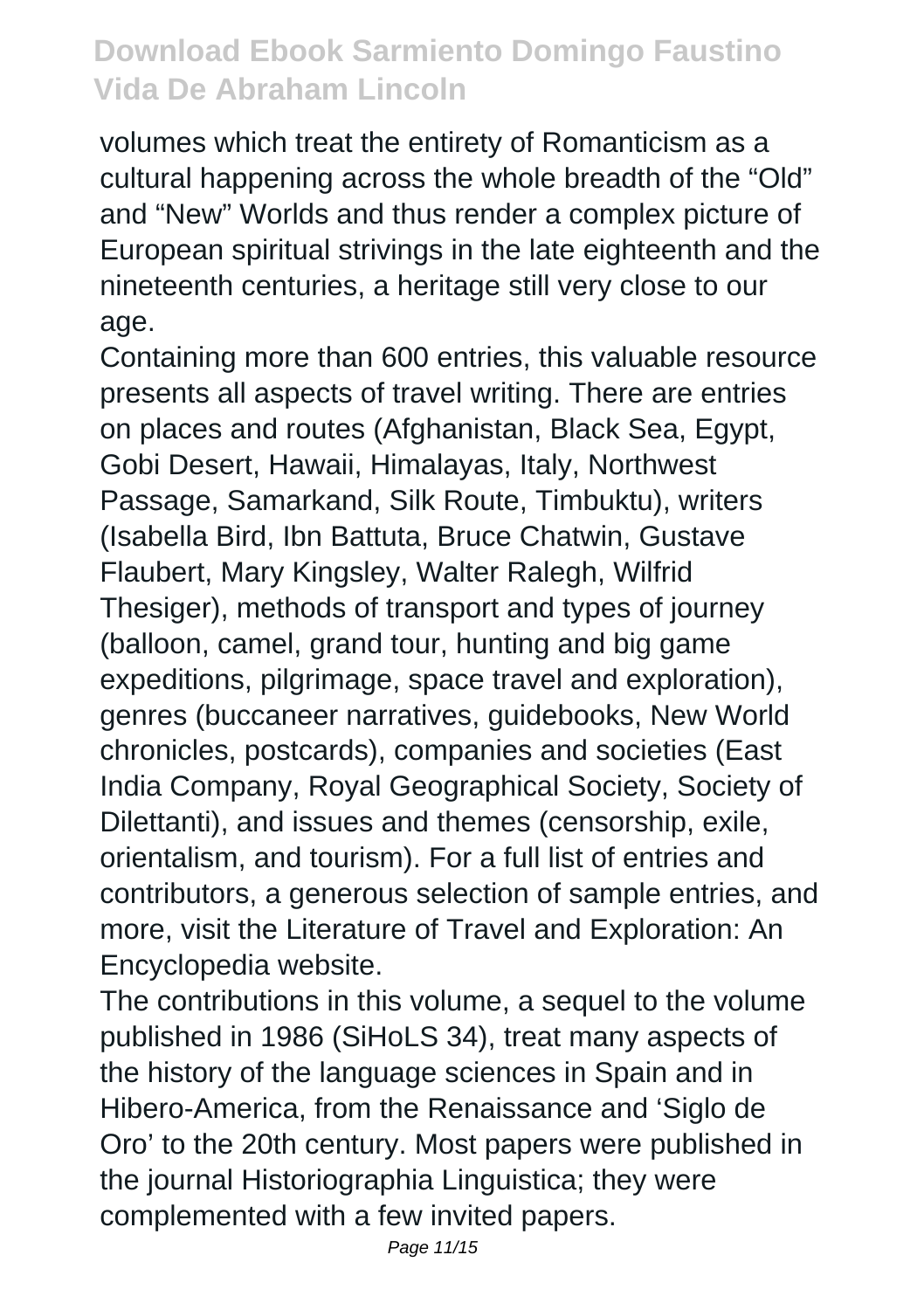volumes which treat the entirety of Romanticism as a cultural happening across the whole breadth of the "Old" and "New" Worlds and thus render a complex picture of European spiritual strivings in the late eighteenth and the nineteenth centuries, a heritage still very close to our age.

Containing more than 600 entries, this valuable resource presents all aspects of travel writing. There are entries on places and routes (Afghanistan, Black Sea, Egypt, Gobi Desert, Hawaii, Himalayas, Italy, Northwest Passage, Samarkand, Silk Route, Timbuktu), writers (Isabella Bird, Ibn Battuta, Bruce Chatwin, Gustave Flaubert, Mary Kingsley, Walter Ralegh, Wilfrid Thesiger), methods of transport and types of journey (balloon, camel, grand tour, hunting and big game expeditions, pilgrimage, space travel and exploration), genres (buccaneer narratives, guidebooks, New World chronicles, postcards), companies and societies (East India Company, Royal Geographical Society, Society of Dilettanti), and issues and themes (censorship, exile, orientalism, and tourism). For a full list of entries and contributors, a generous selection of sample entries, and more, visit the Literature of Travel and Exploration: An Encyclopedia website.

The contributions in this volume, a sequel to the volume published in 1986 (SiHoLS 34), treat many aspects of the history of the language sciences in Spain and in Hibero-America, from the Renaissance and 'Siglo de Oro' to the 20th century. Most papers were published in the journal Historiographia Linguistica; they were complemented with a few invited papers.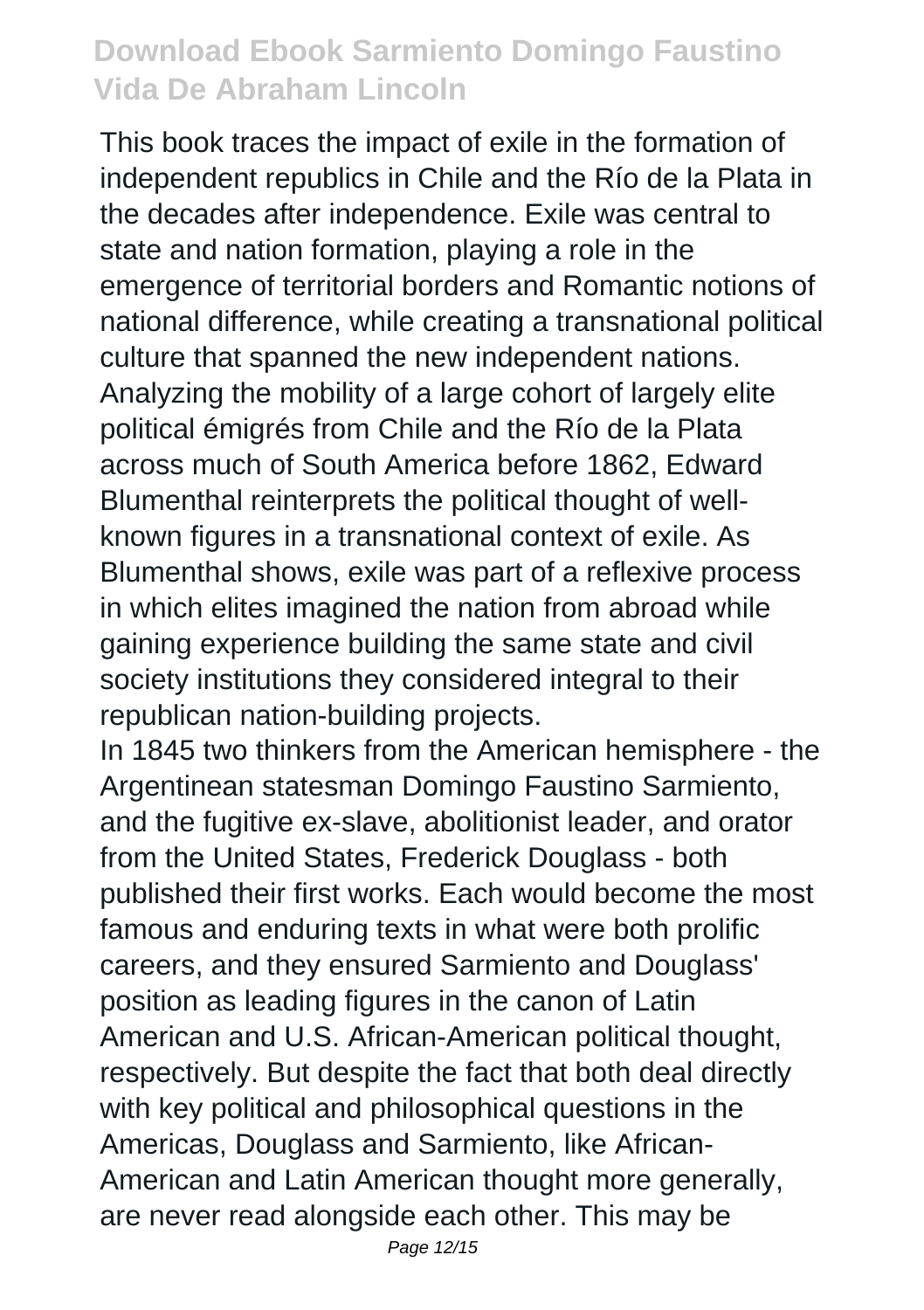This book traces the impact of exile in the formation of independent republics in Chile and the Río de la Plata in the decades after independence. Exile was central to state and nation formation, playing a role in the emergence of territorial borders and Romantic notions of national difference, while creating a transnational political culture that spanned the new independent nations. Analyzing the mobility of a large cohort of largely elite political émigrés from Chile and the Río de la Plata across much of South America before 1862, Edward Blumenthal reinterprets the political thought of wellknown figures in a transnational context of exile. As Blumenthal shows, exile was part of a reflexive process in which elites imagined the nation from abroad while gaining experience building the same state and civil society institutions they considered integral to their republican nation-building projects.

In 1845 two thinkers from the American hemisphere - the Argentinean statesman Domingo Faustino Sarmiento, and the fugitive ex-slave, abolitionist leader, and orator from the United States, Frederick Douglass - both published their first works. Each would become the most famous and enduring texts in what were both prolific careers, and they ensured Sarmiento and Douglass' position as leading figures in the canon of Latin American and U.S. African-American political thought, respectively. But despite the fact that both deal directly with key political and philosophical questions in the Americas, Douglass and Sarmiento, like African-American and Latin American thought more generally, are never read alongside each other. This may be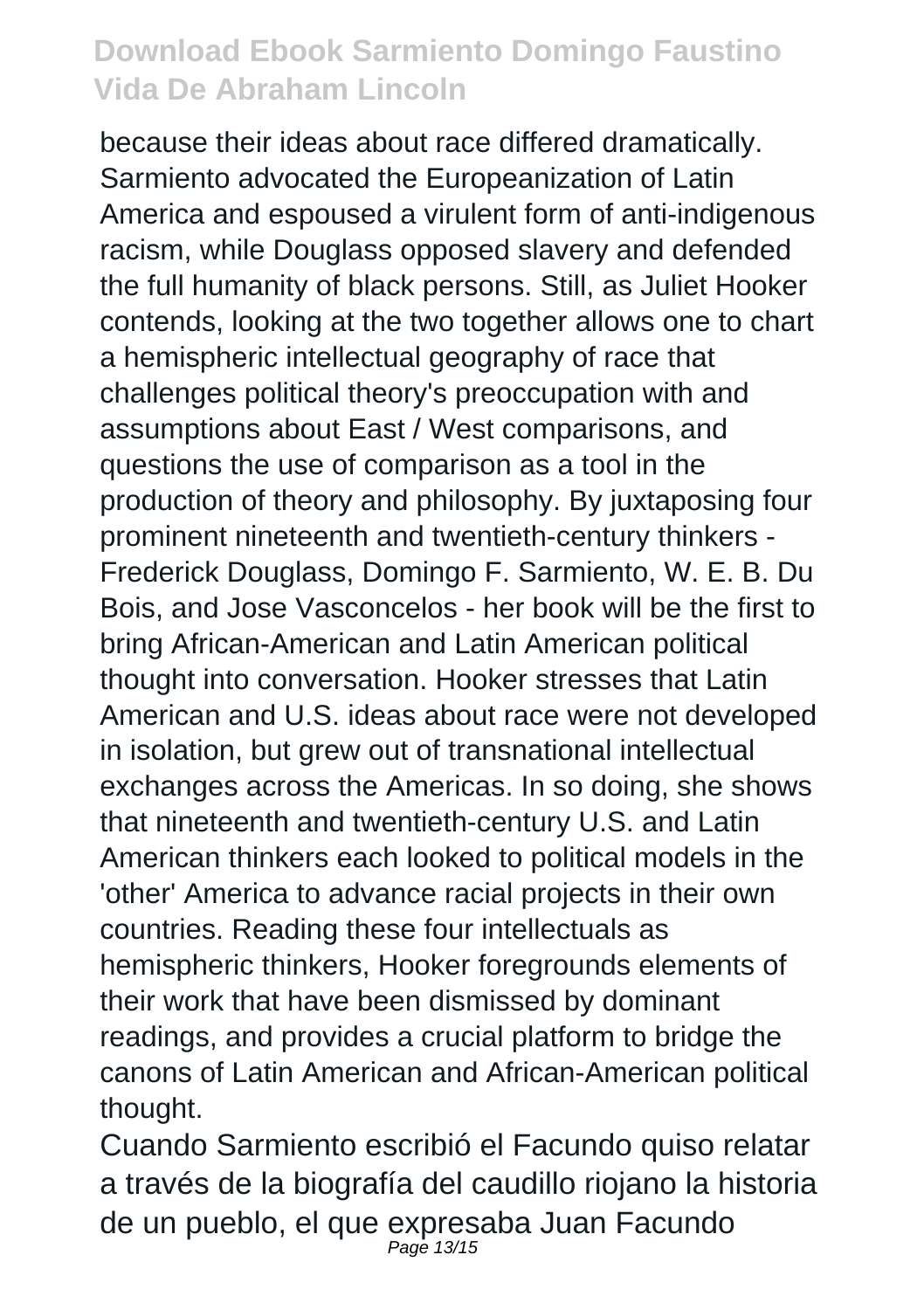because their ideas about race differed dramatically. Sarmiento advocated the Europeanization of Latin America and espoused a virulent form of anti-indigenous racism, while Douglass opposed slavery and defended the full humanity of black persons. Still, as Juliet Hooker contends, looking at the two together allows one to chart a hemispheric intellectual geography of race that challenges political theory's preoccupation with and assumptions about East / West comparisons, and questions the use of comparison as a tool in the production of theory and philosophy. By juxtaposing four prominent nineteenth and twentieth-century thinkers - Frederick Douglass, Domingo F. Sarmiento, W. E. B. Du Bois, and Jose Vasconcelos - her book will be the first to bring African-American and Latin American political thought into conversation. Hooker stresses that Latin American and U.S. ideas about race were not developed in isolation, but grew out of transnational intellectual exchanges across the Americas. In so doing, she shows that nineteenth and twentieth-century U.S. and Latin American thinkers each looked to political models in the 'other' America to advance racial projects in their own countries. Reading these four intellectuals as hemispheric thinkers, Hooker foregrounds elements of their work that have been dismissed by dominant readings, and provides a crucial platform to bridge the canons of Latin American and African-American political thought.

Cuando Sarmiento escribió el Facundo quiso relatar a través de la biografía del caudillo riojano la historia de un pueblo, el que expresaba Juan Facundo Page 13/15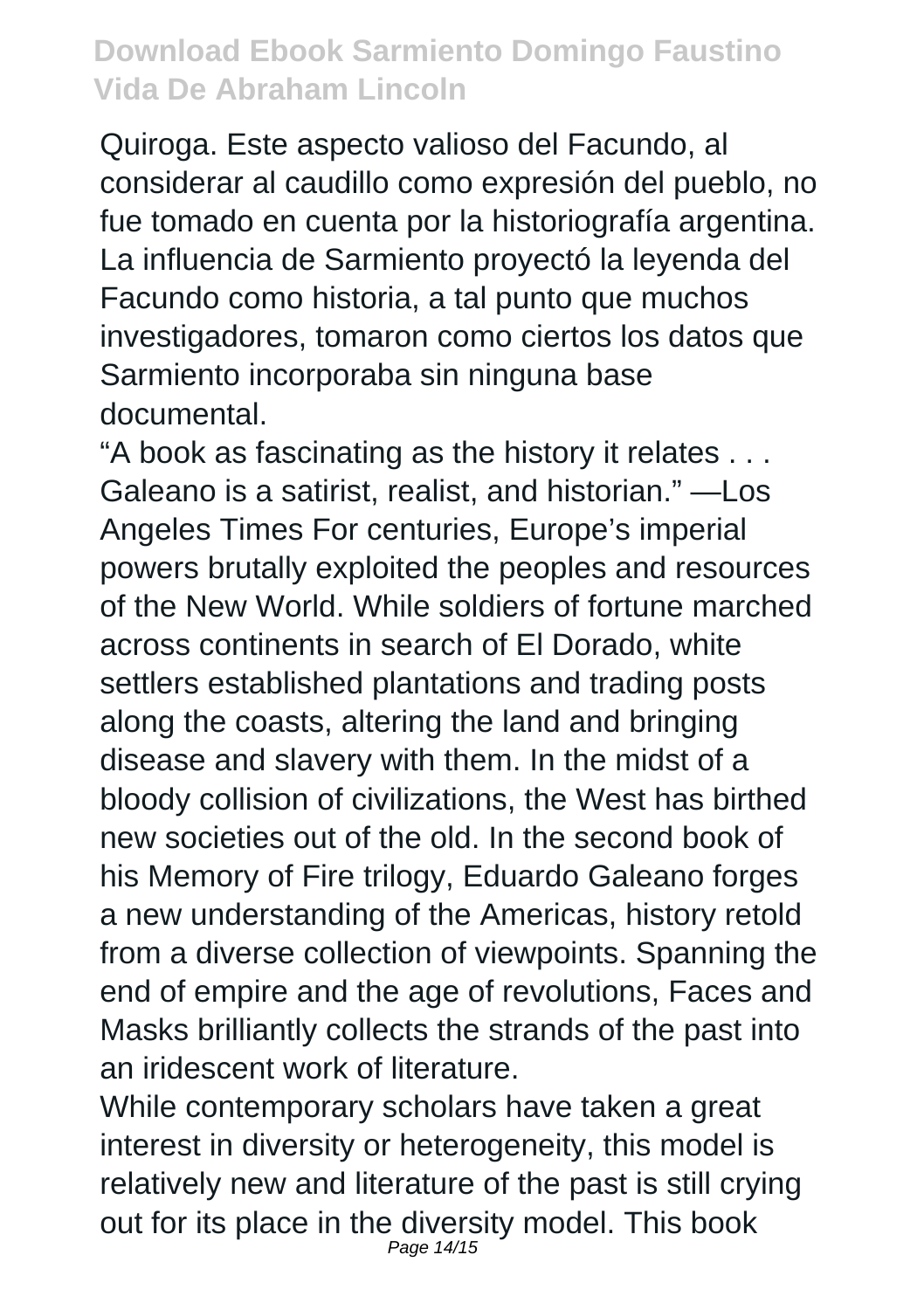Quiroga. Este aspecto valioso del Facundo, al considerar al caudillo como expresión del pueblo, no fue tomado en cuenta por la historiografía argentina. La influencia de Sarmiento proyectó la leyenda del Facundo como historia, a tal punto que muchos investigadores, tomaron como ciertos los datos que Sarmiento incorporaba sin ninguna base documental.

"A book as fascinating as the history it relates . . . Galeano is a satirist, realist, and historian." —Los Angeles Times For centuries, Europe's imperial powers brutally exploited the peoples and resources of the New World. While soldiers of fortune marched across continents in search of El Dorado, white settlers established plantations and trading posts along the coasts, altering the land and bringing disease and slavery with them. In the midst of a bloody collision of civilizations, the West has birthed new societies out of the old. In the second book of his Memory of Fire trilogy, Eduardo Galeano forges a new understanding of the Americas, history retold from a diverse collection of viewpoints. Spanning the end of empire and the age of revolutions, Faces and Masks brilliantly collects the strands of the past into an iridescent work of literature.

While contemporary scholars have taken a great interest in diversity or heterogeneity, this model is relatively new and literature of the past is still crying out for its place in the diversity model. This book Page 14/15